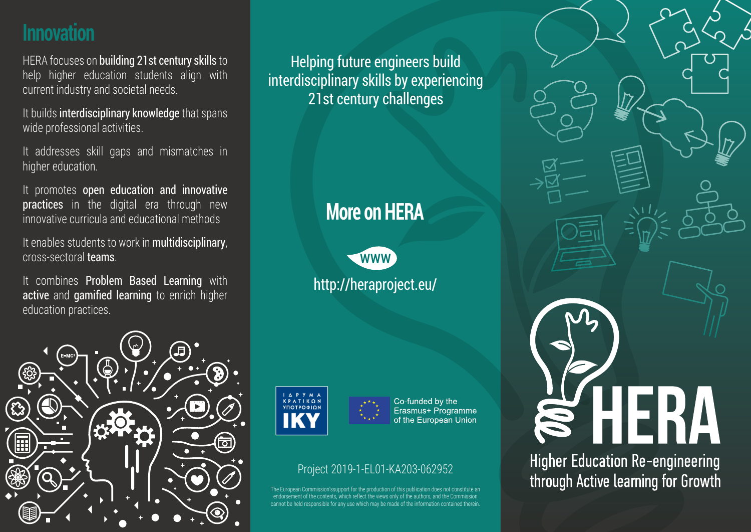## **Innovation**

HERA focuses on **building 21st century skills** to help higher education students align with current industry and societal needs.

It builds interdisciplinary knowledge that spans wide professional activities.

It addresses skill gaps and mismatches in higher education.

It promotes open education and innovative practices in the digital era through new innovative curricula and educational methods

It enables students to work in multidisciplinary, cross-sectoral teams.

It combines Problem Based Learning with active and gamified learning to enrich higher education practices.



Helping future engineers build interdisciplinary skills by experiencing 21st century challenges

# **More on HERA**

http://heraproject.eu/ **WWW** 



Co-funded by the Erasmus+ Programme of the European Union

#### Project 2019-1-EL01-KA203-062952

ropean Commission'ssupport for the production of this publication does not constitute and ent of the contents, which reflect the views only of the authors, and the Cor cannot be held responsible for any use which may be made of the information contained therein.



**Higher Education Re-engineering** through Active learning for Growth